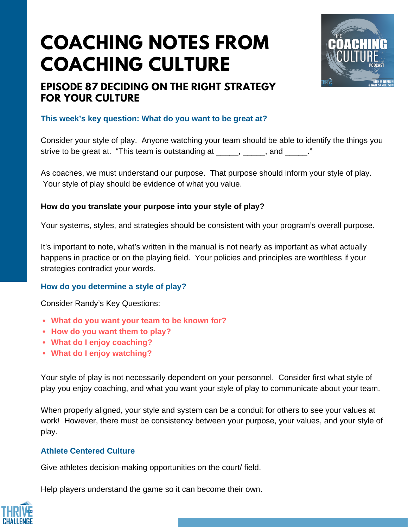# **COACHING NOTES FROM COACHING CULTURE**



## **EPISODE 87 DECIDING ON THE RIGHT STRATEGY FOR YOUR CULTURE**

#### **This week's key question: What do you want to be great at?**

Consider your style of play. Anyone watching your team should be able to identify the things you strive to be great at. "This team is outstanding at \_\_\_\_\_, \_\_\_\_\_, and \_\_\_\_\_."

As coaches, we must understand our purpose. That purpose should inform your style of play. Your style of play should be evidence of what you value.

#### **How do you translate your purpose into your style of play?**

Your systems, styles, and strategies should be consistent with your program's overall purpose.

It's important to note, what's written in the manual is not nearly as important as what actually happens in practice or on the playing field. Your policies and principles are worthless if your strategies contradict your words.

#### **How do you determine a style of play?**

Consider Randy's Key Questions:

- **What do you want your team to be known for?**
- **How do you want them to play?**
- **What do I enjoy coaching?**
- **What do I enjoy watching?**

Your style of play is not necessarily dependent on your personnel. Consider first what style of play you enjoy coaching, and what you want your style of play to communicate about your team.

When properly aligned, your style and system can be a conduit for others to see your values at work! However, there must be consistency between your purpose, your values, and your style of play.

#### **Athlete Centered Culture**

Give athletes decision-making opportunities on the court/ field.

Help players understand the game so it can become their own.